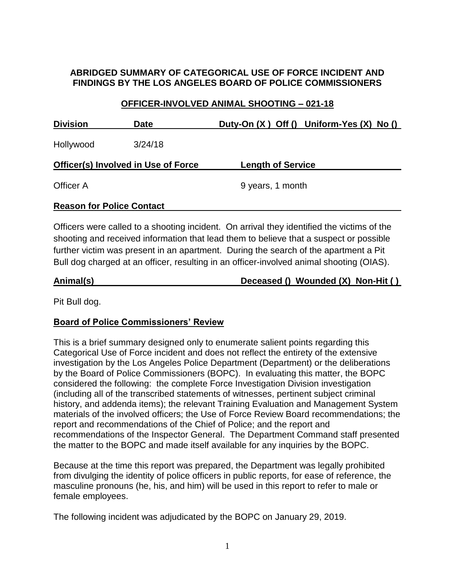# **ABRIDGED SUMMARY OF CATEGORICAL USE OF FORCE INCIDENT AND FINDINGS BY THE LOS ANGELES BOARD OF POLICE COMMISSIONERS**

### **OFFICER-INVOLVED ANIMAL SHOOTING – 021-18**

| <b>Division</b>                            | <b>Date</b> | Duty-On $(X)$ Off $()$ Uniform-Yes $(X)$ No $()$ |
|--------------------------------------------|-------------|--------------------------------------------------|
| Hollywood                                  | 3/24/18     |                                                  |
| <b>Officer(s) Involved in Use of Force</b> |             | <b>Length of Service</b>                         |
| Officer A                                  |             | 9 years, 1 month                                 |
| <b>Reason for Police Contact</b>           |             |                                                  |

Officers were called to a shooting incident. On arrival they identified the victims of the shooting and received information that lead them to believe that a suspect or possible further victim was present in an apartment. During the search of the apartment a Pit Bull dog charged at an officer, resulting in an officer-involved animal shooting (OIAS).

| Animal(s) | Deceased () Wounded (X) Non-Hit () |
|-----------|------------------------------------|
|           |                                    |

Pit Bull dog.

## **Board of Police Commissioners' Review**

This is a brief summary designed only to enumerate salient points regarding this Categorical Use of Force incident and does not reflect the entirety of the extensive investigation by the Los Angeles Police Department (Department) or the deliberations by the Board of Police Commissioners (BOPC). In evaluating this matter, the BOPC considered the following: the complete Force Investigation Division investigation (including all of the transcribed statements of witnesses, pertinent subject criminal history, and addenda items); the relevant Training Evaluation and Management System materials of the involved officers; the Use of Force Review Board recommendations; the report and recommendations of the Chief of Police; and the report and recommendations of the Inspector General. The Department Command staff presented the matter to the BOPC and made itself available for any inquiries by the BOPC.

Because at the time this report was prepared, the Department was legally prohibited from divulging the identity of police officers in public reports, for ease of reference, the masculine pronouns (he, his, and him) will be used in this report to refer to male or female employees.

The following incident was adjudicated by the BOPC on January 29, 2019.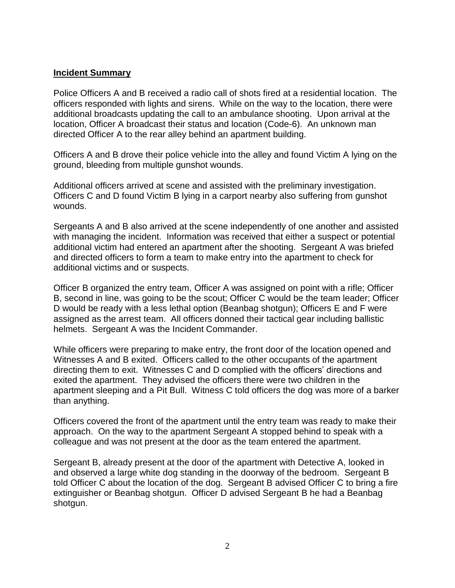#### **Incident Summary**

Police Officers A and B received a radio call of shots fired at a residential location. The officers responded with lights and sirens. While on the way to the location, there were additional broadcasts updating the call to an ambulance shooting. Upon arrival at the location, Officer A broadcast their status and location (Code-6). An unknown man directed Officer A to the rear alley behind an apartment building.

Officers A and B drove their police vehicle into the alley and found Victim A lying on the ground, bleeding from multiple gunshot wounds.

Additional officers arrived at scene and assisted with the preliminary investigation. Officers C and D found Victim B lying in a carport nearby also suffering from gunshot wounds.

Sergeants A and B also arrived at the scene independently of one another and assisted with managing the incident.Information was received that either a suspect or potential additional victim had entered an apartment after the shooting. Sergeant A was briefed and directed officers to form a team to make entry into the apartment to check for additional victims and or suspects.

Officer B organized the entry team, Officer A was assigned on point with a rifle; Officer B, second in line, was going to be the scout; Officer C would be the team leader; Officer D would be ready with a less lethal option (Beanbag shotgun); Officers E and F were assigned as the arrest team. All officers donned their tactical gear including ballistic helmets. Sergeant A was the Incident Commander.

While officers were preparing to make entry, the front door of the location opened and Witnesses A and B exited. Officers called to the other occupants of the apartment directing them to exit. Witnesses C and D complied with the officers' directions and exited the apartment. They advised the officers there were two children in the apartment sleeping and a Pit Bull. Witness C told officers the dog was more of a barker than anything.

Officers covered the front of the apartment until the entry team was ready to make their approach. On the way to the apartment Sergeant A stopped behind to speak with a colleague and was not present at the door as the team entered the apartment.

Sergeant B, already present at the door of the apartment with Detective A, looked in and observed a large white dog standing in the doorway of the bedroom. Sergeant B told Officer C about the location of the dog. Sergeant B advised Officer C to bring a fire extinguisher or Beanbag shotgun. Officer D advised Sergeant B he had a Beanbag shotgun.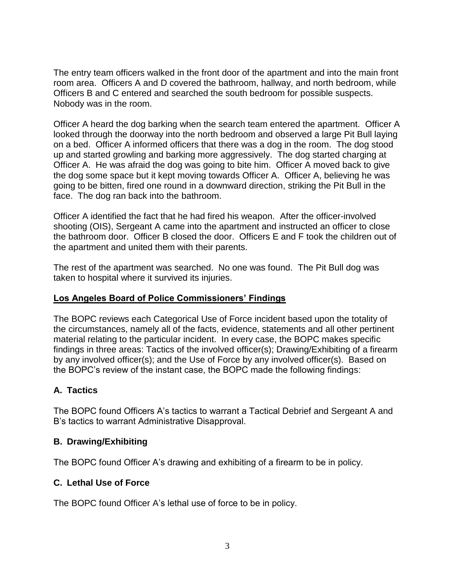The entry team officers walked in the front door of the apartment and into the main front room area. Officers A and D covered the bathroom, hallway, and north bedroom, while Officers B and C entered and searched the south bedroom for possible suspects. Nobody was in the room.

Officer A heard the dog barking when the search team entered the apartment. Officer A looked through the doorway into the north bedroom and observed a large Pit Bull laying on a bed. Officer A informed officers that there was a dog in the room. The dog stood up and started growling and barking more aggressively. The dog started charging at Officer A. He was afraid the dog was going to bite him. Officer A moved back to give the dog some space but it kept moving towards Officer A. Officer A, believing he was going to be bitten, fired one round in a downward direction, striking the Pit Bull in the face. The dog ran back into the bathroom.

Officer A identified the fact that he had fired his weapon. After the officer-involved shooting (OIS), Sergeant A came into the apartment and instructed an officer to close the bathroom door. Officer B closed the door. Officers E and F took the children out of the apartment and united them with their parents.

The rest of the apartment was searched. No one was found. The Pit Bull dog was taken to hospital where it survived its injuries.

## **Los Angeles Board of Police Commissioners' Findings**

The BOPC reviews each Categorical Use of Force incident based upon the totality of the circumstances, namely all of the facts, evidence, statements and all other pertinent material relating to the particular incident. In every case, the BOPC makes specific findings in three areas: Tactics of the involved officer(s); Drawing/Exhibiting of a firearm by any involved officer(s); and the Use of Force by any involved officer(s). Based on the BOPC's review of the instant case, the BOPC made the following findings:

## **A. Tactics**

The BOPC found Officers A's tactics to warrant a Tactical Debrief and Sergeant A and B's tactics to warrant Administrative Disapproval.

#### **B. Drawing/Exhibiting**

The BOPC found Officer A's drawing and exhibiting of a firearm to be in policy.

#### **C. Lethal Use of Force**

The BOPC found Officer A's lethal use of force to be in policy.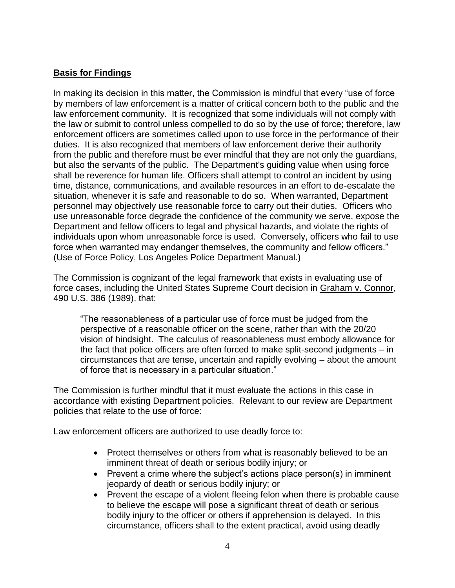## **Basis for Findings**

In making its decision in this matter, the Commission is mindful that every "use of force by members of law enforcement is a matter of critical concern both to the public and the law enforcement community. It is recognized that some individuals will not comply with the law or submit to control unless compelled to do so by the use of force; therefore, law enforcement officers are sometimes called upon to use force in the performance of their duties. It is also recognized that members of law enforcement derive their authority from the public and therefore must be ever mindful that they are not only the guardians, but also the servants of the public. The Department's guiding value when using force shall be reverence for human life. Officers shall attempt to control an incident by using time, distance, communications, and available resources in an effort to de-escalate the situation, whenever it is safe and reasonable to do so. When warranted, Department personnel may objectively use reasonable force to carry out their duties. Officers who use unreasonable force degrade the confidence of the community we serve, expose the Department and fellow officers to legal and physical hazards, and violate the rights of individuals upon whom unreasonable force is used. Conversely, officers who fail to use force when warranted may endanger themselves, the community and fellow officers." (Use of Force Policy, Los Angeles Police Department Manual.)

The Commission is cognizant of the legal framework that exists in evaluating use of force cases, including the United States Supreme Court decision in Graham v. Connor, 490 U.S. 386 (1989), that:

"The reasonableness of a particular use of force must be judged from the perspective of a reasonable officer on the scene, rather than with the 20/20 vision of hindsight. The calculus of reasonableness must embody allowance for the fact that police officers are often forced to make split-second judgments – in circumstances that are tense, uncertain and rapidly evolving – about the amount of force that is necessary in a particular situation."

The Commission is further mindful that it must evaluate the actions in this case in accordance with existing Department policies. Relevant to our review are Department policies that relate to the use of force:

Law enforcement officers are authorized to use deadly force to:

- Protect themselves or others from what is reasonably believed to be an imminent threat of death or serious bodily injury; or
- Prevent a crime where the subject's actions place person(s) in imminent jeopardy of death or serious bodily injury; or
- Prevent the escape of a violent fleeing felon when there is probable cause to believe the escape will pose a significant threat of death or serious bodily injury to the officer or others if apprehension is delayed. In this circumstance, officers shall to the extent practical, avoid using deadly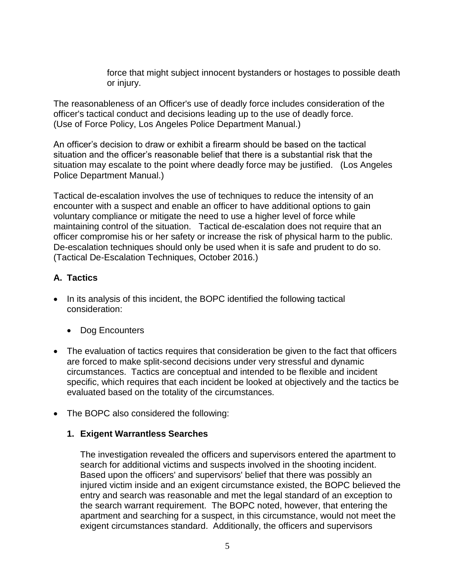force that might subject innocent bystanders or hostages to possible death or injury.

The reasonableness of an Officer's use of deadly force includes consideration of the officer's tactical conduct and decisions leading up to the use of deadly force. (Use of Force Policy, Los Angeles Police Department Manual.)

An officer's decision to draw or exhibit a firearm should be based on the tactical situation and the officer's reasonable belief that there is a substantial risk that the situation may escalate to the point where deadly force may be justified. (Los Angeles Police Department Manual.)

Tactical de-escalation involves the use of techniques to reduce the intensity of an encounter with a suspect and enable an officer to have additional options to gain voluntary compliance or mitigate the need to use a higher level of force while maintaining control of the situation. Tactical de-escalation does not require that an officer compromise his or her safety or increase the risk of physical harm to the public. De-escalation techniques should only be used when it is safe and prudent to do so. (Tactical De-Escalation Techniques, October 2016.)

## **A. Tactics**

- In its analysis of this incident, the BOPC identified the following tactical consideration:
	- Dog Encounters
- The evaluation of tactics requires that consideration be given to the fact that officers are forced to make split-second decisions under very stressful and dynamic circumstances. Tactics are conceptual and intended to be flexible and incident specific, which requires that each incident be looked at objectively and the tactics be evaluated based on the totality of the circumstances.
- The BOPC also considered the following:

#### **1. Exigent Warrantless Searches**

The investigation revealed the officers and supervisors entered the apartment to search for additional victims and suspects involved in the shooting incident. Based upon the officers' and supervisors' belief that there was possibly an injured victim inside and an exigent circumstance existed, the BOPC believed the entry and search was reasonable and met the legal standard of an exception to the search warrant requirement. The BOPC noted, however, that entering the apartment and searching for a suspect, in this circumstance, would not meet the exigent circumstances standard. Additionally, the officers and supervisors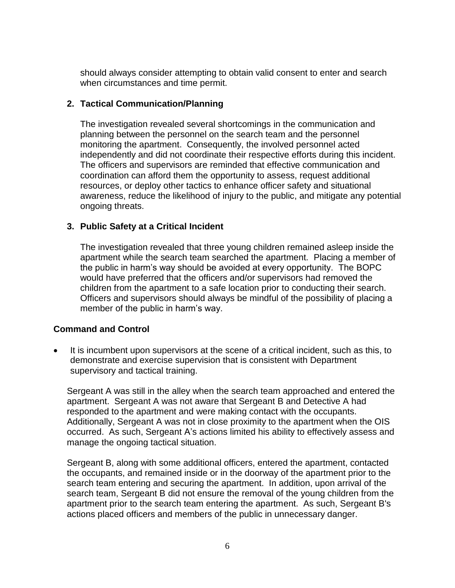should always consider attempting to obtain valid consent to enter and search when circumstances and time permit.

#### **2. Tactical Communication/Planning**

The investigation revealed several shortcomings in the communication and planning between the personnel on the search team and the personnel monitoring the apartment. Consequently, the involved personnel acted independently and did not coordinate their respective efforts during this incident. The officers and supervisors are reminded that effective communication and coordination can afford them the opportunity to assess, request additional resources, or deploy other tactics to enhance officer safety and situational awareness, reduce the likelihood of injury to the public, and mitigate any potential ongoing threats.

### **3. Public Safety at a Critical Incident**

The investigation revealed that three young children remained asleep inside the apartment while the search team searched the apartment. Placing a member of the public in harm's way should be avoided at every opportunity. The BOPC would have preferred that the officers and/or supervisors had removed the children from the apartment to a safe location prior to conducting their search. Officers and supervisors should always be mindful of the possibility of placing a member of the public in harm's way.

#### **Command and Control**

It is incumbent upon supervisors at the scene of a critical incident, such as this, to demonstrate and exercise supervision that is consistent with Department supervisory and tactical training.

Sergeant A was still in the alley when the search team approached and entered the apartment. Sergeant A was not aware that Sergeant B and Detective A had responded to the apartment and were making contact with the occupants. Additionally, Sergeant A was not in close proximity to the apartment when the OIS occurred. As such, Sergeant A's actions limited his ability to effectively assess and manage the ongoing tactical situation.

Sergeant B, along with some additional officers, entered the apartment, contacted the occupants, and remained inside or in the doorway of the apartment prior to the search team entering and securing the apartment. In addition, upon arrival of the search team, Sergeant B did not ensure the removal of the young children from the apartment prior to the search team entering the apartment. As such, Sergeant B's actions placed officers and members of the public in unnecessary danger.